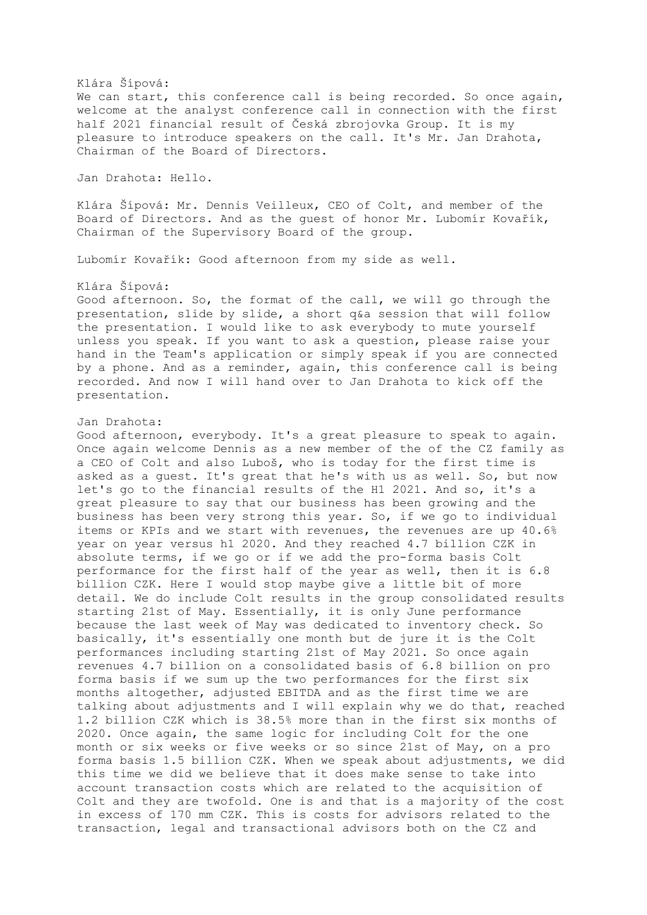# Klára Šípová: We can start, this conference call is being recorded. So once again, welcome at the analyst conference call in connection with the first half 2021 financial result of Česká zbrojovka Group. It is my pleasure to introduce speakers on the call. It's Mr. Jan Drahota, Chairman of the Board of Directors.

Jan Drahota: Hello.

Klára Šípová: Mr. Dennis Veilleux, CEO of Colt, and member of the Board of Directors. And as the guest of honor Mr. Lubomír Kovařík, Chairman of the Supervisory Board of the group.

Lubomír Kovařík: Good afternoon from my side as well.

### Klára Šípová:

Good afternoon. So, the format of the call, we will go through the presentation, slide by slide, a short q&a session that will follow the presentation. I would like to ask everybody to mute yourself unless you speak. If you want to ask a question, please raise your hand in the Team's application or simply speak if you are connected by a phone. And as a reminder, again, this conference call is being recorded. And now I will hand over to Jan Drahota to kick off the presentation.

## Jan Drahota:

Good afternoon, everybody. It's a great pleasure to speak to again. Once again welcome Dennis as a new member of the of the CZ family as a CEO of Colt and also Luboš, who is today for the first time is asked as a guest. It's great that he's with us as well. So, but now let's go to the financial results of the H1 2021. And so, it's a great pleasure to say that our business has been growing and the business has been very strong this year. So, if we go to individual items or KPIs and we start with revenues, the revenues are up 40.6% year on year versus h1 2020. And they reached 4.7 billion CZK in absolute terms, if we go or if we add the pro-forma basis Colt performance for the first half of the year as well, then it is 6.8 billion CZK. Here I would stop maybe give a little bit of more detail. We do include Colt results in the group consolidated results starting 21st of May. Essentially, it is only June performance because the last week of May was dedicated to inventory check. So basically, it's essentially one month but de jure it is the Colt performances including starting 21st of May 2021. So once again revenues 4.7 billion on a consolidated basis of 6.8 billion on pro forma basis if we sum up the two performances for the first six months altogether, adjusted EBITDA and as the first time we are talking about adjustments and I will explain why we do that, reached 1.2 billion CZK which is 38.5% more than in the first six months of 2020. Once again, the same logic for including Colt for the one month or six weeks or five weeks or so since 21st of May, on a pro forma basis 1.5 billion CZK. When we speak about adjustments, we did this time we did we believe that it does make sense to take into account transaction costs which are related to the acquisition of Colt and they are twofold. One is and that is a majority of the cost in excess of 170 mm CZK. This is costs for advisors related to the transaction, legal and transactional advisors both on the CZ and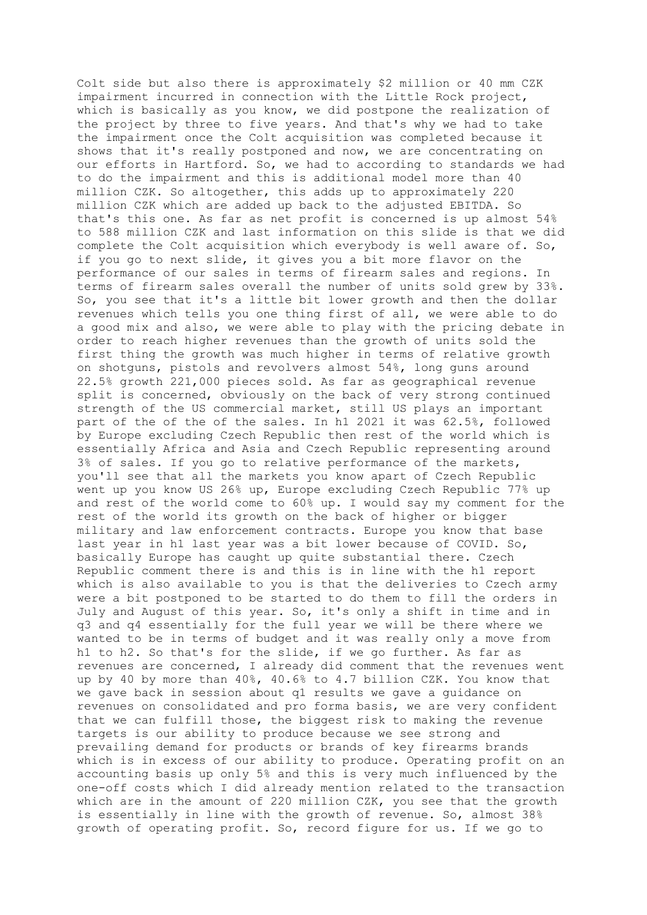Colt side but also there is approximately \$2 million or 40 mm CZK impairment incurred in connection with the Little Rock project, which is basically as you know, we did postpone the realization of the project by three to five years. And that's why we had to take the impairment once the Colt acquisition was completed because it shows that it's really postponed and now, we are concentrating on our efforts in Hartford. So, we had to according to standards we had to do the impairment and this is additional model more than 40 million CZK. So altogether, this adds up to approximately 220 million CZK which are added up back to the adjusted EBITDA. So that's this one. As far as net profit is concerned is up almost 54% to 588 million CZK and last information on this slide is that we did complete the Colt acquisition which everybody is well aware of. So, if you go to next slide, it gives you a bit more flavor on the performance of our sales in terms of firearm sales and regions. In terms of firearm sales overall the number of units sold grew by 33%. So, you see that it's a little bit lower growth and then the dollar revenues which tells you one thing first of all, we were able to do a good mix and also, we were able to play with the pricing debate in order to reach higher revenues than the growth of units sold the first thing the growth was much higher in terms of relative growth on shotguns, pistols and revolvers almost 54%, long guns around 22.5% growth 221,000 pieces sold. As far as geographical revenue split is concerned, obviously on the back of very strong continued strength of the US commercial market, still US plays an important part of the of the of the sales. In h1 2021 it was 62.5%, followed by Europe excluding Czech Republic then rest of the world which is essentially Africa and Asia and Czech Republic representing around 3% of sales. If you go to relative performance of the markets, you'll see that all the markets you know apart of Czech Republic went up you know US 26% up, Europe excluding Czech Republic 77% up and rest of the world come to 60% up. I would say my comment for the rest of the world its growth on the back of higher or bigger military and law enforcement contracts. Europe you know that base last year in h1 last year was a bit lower because of COVID. So, basically Europe has caught up quite substantial there. Czech Republic comment there is and this is in line with the h1 report which is also available to you is that the deliveries to Czech army were a bit postponed to be started to do them to fill the orders in July and August of this year. So, it's only a shift in time and in q3 and q4 essentially for the full year we will be there where we wanted to be in terms of budget and it was really only a move from h1 to h2. So that's for the slide, if we go further. As far as revenues are concerned, I already did comment that the revenues went up by 40 by more than 40%, 40.6% to 4.7 billion CZK. You know that we gave back in session about q1 results we gave a guidance on revenues on consolidated and pro forma basis, we are very confident that we can fulfill those, the biggest risk to making the revenue targets is our ability to produce because we see strong and prevailing demand for products or brands of key firearms brands which is in excess of our ability to produce. Operating profit on an accounting basis up only 5% and this is very much influenced by the one-off costs which I did already mention related to the transaction which are in the amount of 220 million CZK, you see that the growth is essentially in line with the growth of revenue. So, almost 38% growth of operating profit. So, record figure for us. If we go to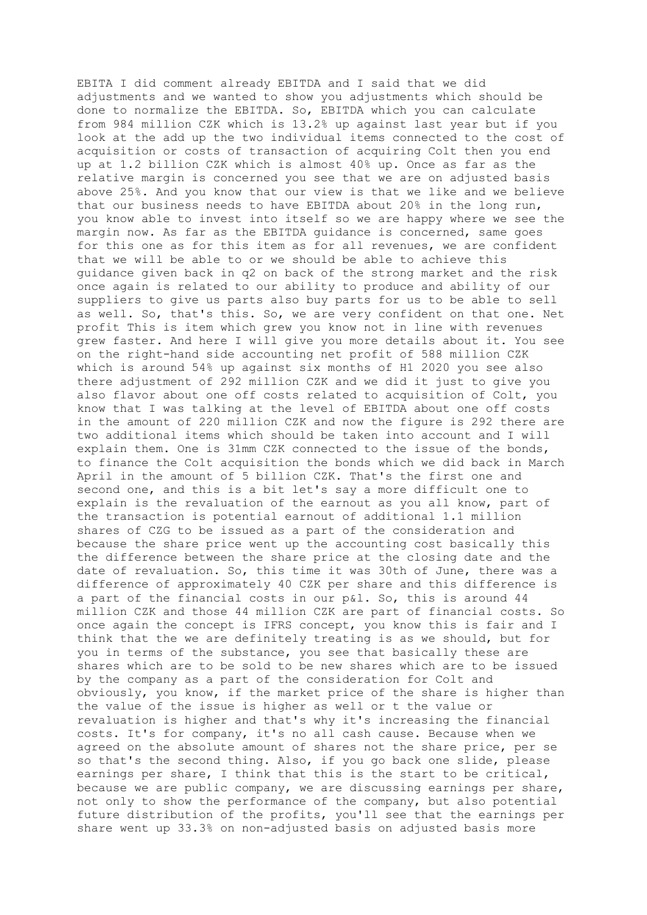EBITA I did comment already EBITDA and I said that we did adjustments and we wanted to show you adjustments which should be done to normalize the EBITDA. So, EBITDA which you can calculate from 984 million CZK which is 13.2% up against last year but if you look at the add up the two individual items connected to the cost of acquisition or costs of transaction of acquiring Colt then you end up at 1.2 billion CZK which is almost 40% up. Once as far as the relative margin is concerned you see that we are on adjusted basis above 25%. And you know that our view is that we like and we believe that our business needs to have EBITDA about 20% in the long run, you know able to invest into itself so we are happy where we see the margin now. As far as the EBITDA guidance is concerned, same goes for this one as for this item as for all revenues, we are confident that we will be able to or we should be able to achieve this guidance given back in q2 on back of the strong market and the risk once again is related to our ability to produce and ability of our suppliers to give us parts also buy parts for us to be able to sell as well. So, that's this. So, we are very confident on that one. Net profit This is item which grew you know not in line with revenues grew faster. And here I will give you more details about it. You see on the right-hand side accounting net profit of 588 million CZK which is around 54% up against six months of H1 2020 you see also there adjustment of 292 million CZK and we did it just to give you also flavor about one off costs related to acquisition of Colt, you know that I was talking at the level of EBITDA about one off costs in the amount of 220 million CZK and now the figure is 292 there are two additional items which should be taken into account and I will explain them. One is 31mm CZK connected to the issue of the bonds, to finance the Colt acquisition the bonds which we did back in March April in the amount of 5 billion CZK. That's the first one and second one, and this is a bit let's say a more difficult one to explain is the revaluation of the earnout as you all know, part of the transaction is potential earnout of additional 1.1 million shares of CZG to be issued as a part of the consideration and because the share price went up the accounting cost basically this the difference between the share price at the closing date and the date of revaluation. So, this time it was 30th of June, there was a difference of approximately 40 CZK per share and this difference is a part of the financial costs in our p&l. So, this is around 44 million CZK and those 44 million CZK are part of financial costs. So once again the concept is IFRS concept, you know this is fair and I think that the we are definitely treating is as we should, but for you in terms of the substance, you see that basically these are shares which are to be sold to be new shares which are to be issued by the company as a part of the consideration for Colt and obviously, you know, if the market price of the share is higher than the value of the issue is higher as well or t the value or revaluation is higher and that's why it's increasing the financial costs. It's for company, it's no all cash cause. Because when we agreed on the absolute amount of shares not the share price, per se so that's the second thing. Also, if you go back one slide, please earnings per share, I think that this is the start to be critical, because we are public company, we are discussing earnings per share, not only to show the performance of the company, but also potential future distribution of the profits, you'll see that the earnings per share went up 33.3% on non-adjusted basis on adjusted basis more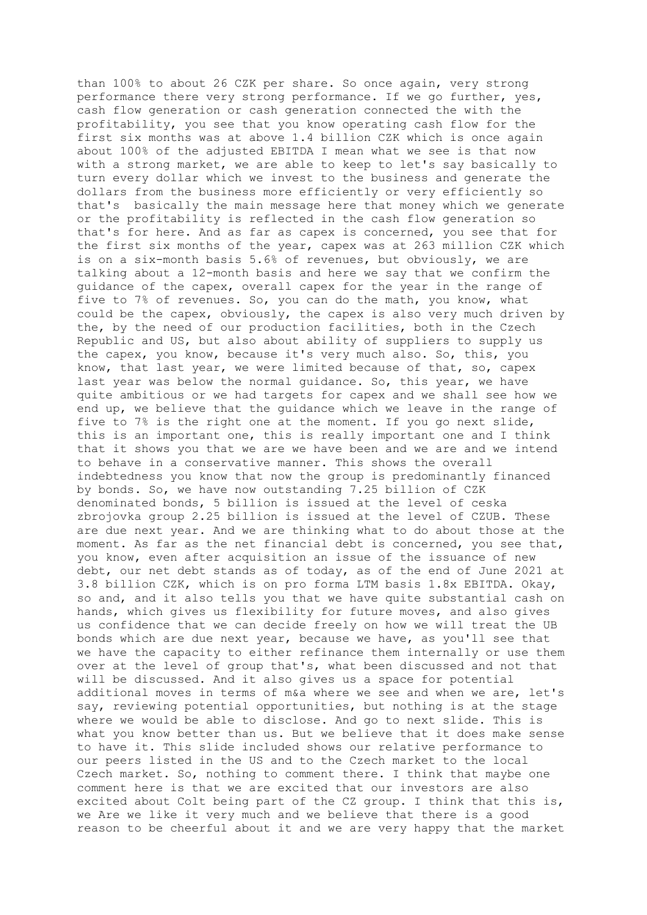than 100% to about 26 CZK per share. So once again, very strong performance there very strong performance. If we go further, yes, cash flow generation or cash generation connected the with the profitability, you see that you know operating cash flow for the first six months was at above 1.4 billion CZK which is once again about 100% of the adjusted EBITDA I mean what we see is that now with a strong market, we are able to keep to let's say basically to turn every dollar which we invest to the business and generate the dollars from the business more efficiently or very efficiently so that's basically the main message here that money which we generate or the profitability is reflected in the cash flow generation so that's for here. And as far as capex is concerned, you see that for the first six months of the year, capex was at 263 million CZK which is on a six-month basis 5.6% of revenues, but obviously, we are talking about a 12-month basis and here we say that we confirm the guidance of the capex, overall capex for the year in the range of five to 7% of revenues. So, you can do the math, you know, what could be the capex, obviously, the capex is also very much driven by the, by the need of our production facilities, both in the Czech Republic and US, but also about ability of suppliers to supply us the capex, you know, because it's very much also. So, this, you know, that last year, we were limited because of that, so, capex last year was below the normal guidance. So, this year, we have quite ambitious or we had targets for capex and we shall see how we end up, we believe that the guidance which we leave in the range of five to 7% is the right one at the moment. If you go next slide, this is an important one, this is really important one and I think that it shows you that we are we have been and we are and we intend to behave in a conservative manner. This shows the overall indebtedness you know that now the group is predominantly financed by bonds. So, we have now outstanding 7.25 billion of CZK denominated bonds, 5 billion is issued at the level of ceska zbrojovka group 2.25 billion is issued at the level of CZUB. These are due next year. And we are thinking what to do about those at the moment. As far as the net financial debt is concerned, you see that, you know, even after acquisition an issue of the issuance of new debt, our net debt stands as of today, as of the end of June 2021 at 3.8 billion CZK, which is on pro forma LTM basis 1.8x EBITDA. Okay, so and, and it also tells you that we have quite substantial cash on hands, which gives us flexibility for future moves, and also gives us confidence that we can decide freely on how we will treat the UB bonds which are due next year, because we have, as you'll see that we have the capacity to either refinance them internally or use them over at the level of group that's, what been discussed and not that will be discussed. And it also gives us a space for potential additional moves in terms of m&a where we see and when we are, let's say, reviewing potential opportunities, but nothing is at the stage where we would be able to disclose. And go to next slide. This is what you know better than us. But we believe that it does make sense to have it. This slide included shows our relative performance to our peers listed in the US and to the Czech market to the local Czech market. So, nothing to comment there. I think that maybe one comment here is that we are excited that our investors are also excited about Colt being part of the CZ group. I think that this is, we Are we like it very much and we believe that there is a good reason to be cheerful about it and we are very happy that the market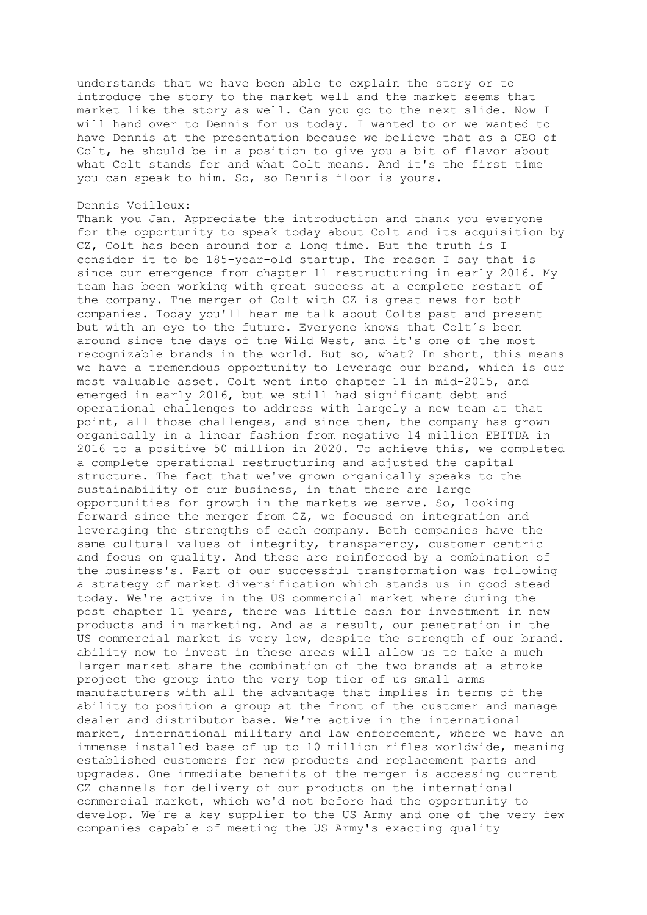understands that we have been able to explain the story or to introduce the story to the market well and the market seems that market like the story as well. Can you go to the next slide. Now I will hand over to Dennis for us today. I wanted to or we wanted to have Dennis at the presentation because we believe that as a CEO of Colt, he should be in a position to give you a bit of flavor about what Colt stands for and what Colt means. And it's the first time you can speak to him. So, so Dennis floor is yours.

## Dennis Veilleux:

Thank you Jan. Appreciate the introduction and thank you everyone for the opportunity to speak today about Colt and its acquisition by CZ, Colt has been around for a long time. But the truth is I consider it to be 185-year-old startup. The reason I say that is since our emergence from chapter 11 restructuring in early 2016. My team has been working with great success at a complete restart of the company. The merger of Colt with CZ is great news for both companies. Today you'll hear me talk about Colts past and present but with an eye to the future. Everyone knows that Colt´s been around since the days of the Wild West, and it's one of the most recognizable brands in the world. But so, what? In short, this means we have a tremendous opportunity to leverage our brand, which is our most valuable asset. Colt went into chapter 11 in mid-2015, and emerged in early 2016, but we still had significant debt and operational challenges to address with largely a new team at that point, all those challenges, and since then, the company has grown organically in a linear fashion from negative 14 million EBITDA in 2016 to a positive 50 million in 2020. To achieve this, we completed a complete operational restructuring and adjusted the capital structure. The fact that we've grown organically speaks to the sustainability of our business, in that there are large opportunities for growth in the markets we serve. So, looking forward since the merger from CZ, we focused on integration and leveraging the strengths of each company. Both companies have the same cultural values of integrity, transparency, customer centric and focus on quality. And these are reinforced by a combination of the business's. Part of our successful transformation was following a strategy of market diversification which stands us in good stead today. We're active in the US commercial market where during the post chapter 11 years, there was little cash for investment in new products and in marketing. And as a result, our penetration in the US commercial market is very low, despite the strength of our brand. ability now to invest in these areas will allow us to take a much larger market share the combination of the two brands at a stroke project the group into the very top tier of us small arms manufacturers with all the advantage that implies in terms of the ability to position a group at the front of the customer and manage dealer and distributor base. We're active in the international market, international military and law enforcement, where we have an immense installed base of up to 10 million rifles worldwide, meaning established customers for new products and replacement parts and upgrades. One immediate benefits of the merger is accessing current CZ channels for delivery of our products on the international commercial market, which we'd not before had the opportunity to develop. We´re a key supplier to the US Army and one of the very few companies capable of meeting the US Army's exacting quality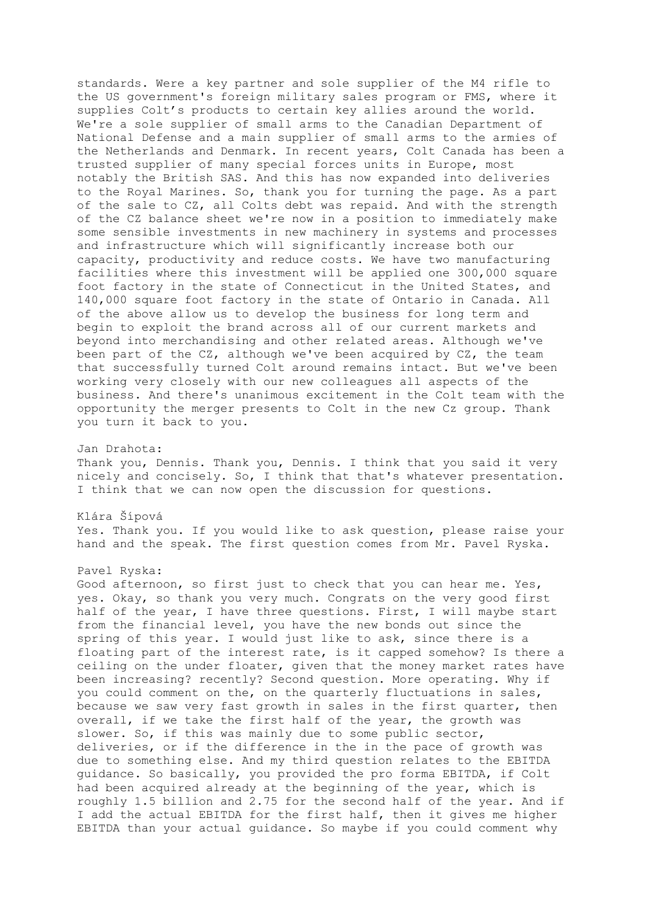standards. Were a key partner and sole supplier of the M4 rifle to the US government's foreign military sales program or FMS, where it supplies Colt's products to certain key allies around the world. We're a sole supplier of small arms to the Canadian Department of National Defense and a main supplier of small arms to the armies of the Netherlands and Denmark. In recent years, Colt Canada has been a trusted supplier of many special forces units in Europe, most notably the British SAS. And this has now expanded into deliveries to the Royal Marines. So, thank you for turning the page. As a part of the sale to CZ, all Colts debt was repaid. And with the strength of the CZ balance sheet we're now in a position to immediately make some sensible investments in new machinery in systems and processes and infrastructure which will significantly increase both our capacity, productivity and reduce costs. We have two manufacturing facilities where this investment will be applied one 300,000 square foot factory in the state of Connecticut in the United States, and 140,000 square foot factory in the state of Ontario in Canada. All of the above allow us to develop the business for long term and begin to exploit the brand across all of our current markets and beyond into merchandising and other related areas. Although we've been part of the CZ, although we've been acquired by CZ, the team that successfully turned Colt around remains intact. But we've been working very closely with our new colleagues all aspects of the business. And there's unanimous excitement in the Colt team with the opportunity the merger presents to Colt in the new Cz group. Thank you turn it back to you.

## Jan Drahota:

Thank you, Dennis. Thank you, Dennis. I think that you said it very nicely and concisely. So, I think that that's whatever presentation. I think that we can now open the discussion for questions.

# Klára Šípová Yes. Thank you. If you would like to ask question, please raise your hand and the speak. The first question comes from Mr. Pavel Ryska.

### Pavel Ryska:

Good afternoon, so first just to check that you can hear me. Yes, yes. Okay, so thank you very much. Congrats on the very good first half of the year, I have three questions. First, I will maybe start from the financial level, you have the new bonds out since the spring of this year. I would just like to ask, since there is a floating part of the interest rate, is it capped somehow? Is there a ceiling on the under floater, given that the money market rates have been increasing? recently? Second question. More operating. Why if you could comment on the, on the quarterly fluctuations in sales, because we saw very fast growth in sales in the first quarter, then overall, if we take the first half of the year, the growth was slower. So, if this was mainly due to some public sector, deliveries, or if the difference in the in the pace of growth was due to something else. And my third question relates to the EBITDA guidance. So basically, you provided the pro forma EBITDA, if Colt had been acquired already at the beginning of the year, which is roughly 1.5 billion and 2.75 for the second half of the year. And if I add the actual EBITDA for the first half, then it gives me higher EBITDA than your actual guidance. So maybe if you could comment why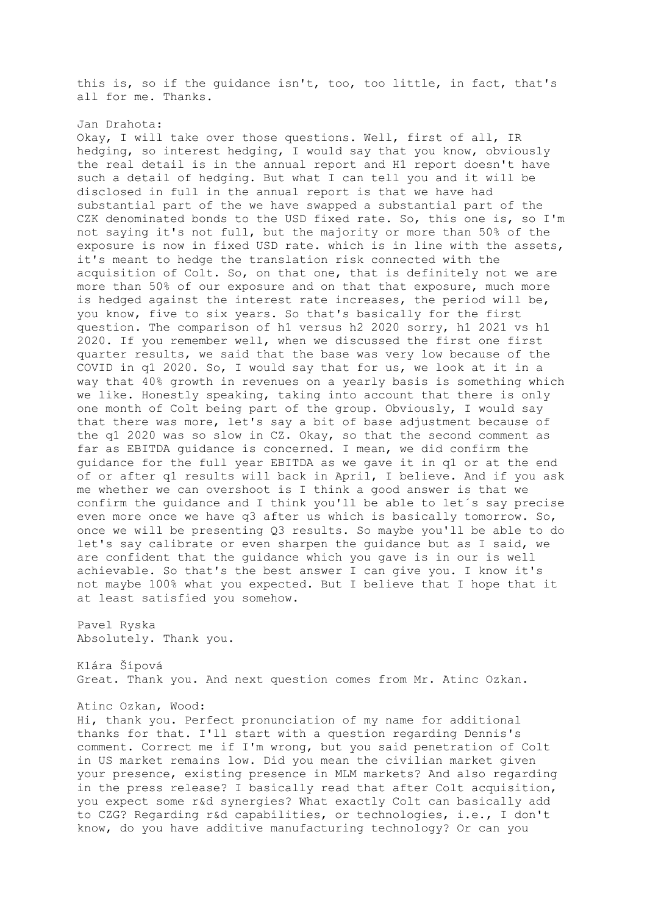this is, so if the guidance isn't, too, too little, in fact, that's all for me. Thanks.

#### Jan Drahota:

Okay, I will take over those questions. Well, first of all, IR hedging, so interest hedging, I would say that you know, obviously the real detail is in the annual report and H1 report doesn't have such a detail of hedging. But what I can tell you and it will be disclosed in full in the annual report is that we have had substantial part of the we have swapped a substantial part of the CZK denominated bonds to the USD fixed rate. So, this one is, so I'm not saying it's not full, but the majority or more than 50% of the exposure is now in fixed USD rate. which is in line with the assets, it's meant to hedge the translation risk connected with the acquisition of Colt. So, on that one, that is definitely not we are more than 50% of our exposure and on that that exposure, much more is hedged against the interest rate increases, the period will be, you know, five to six years. So that's basically for the first question. The comparison of h1 versus h2 2020 sorry, h1 2021 vs h1 2020. If you remember well, when we discussed the first one first quarter results, we said that the base was very low because of the COVID in q1 2020. So, I would say that for us, we look at it in a way that 40% growth in revenues on a yearly basis is something which we like. Honestly speaking, taking into account that there is only one month of Colt being part of the group. Obviously, I would say that there was more, let's say a bit of base adjustment because of the q1 2020 was so slow in CZ. Okay, so that the second comment as far as EBITDA guidance is concerned. I mean, we did confirm the guidance for the full year EBITDA as we gave it in q1 or at the end of or after q1 results will back in April, I believe. And if you ask me whether we can overshoot is I think a good answer is that we confirm the guidance and I think you'll be able to let´s say precise even more once we have q3 after us which is basically tomorrow. So, once we will be presenting Q3 results. So maybe you'll be able to do let's say calibrate or even sharpen the guidance but as I said, we are confident that the guidance which you gave is in our is well achievable. So that's the best answer I can give you. I know it's not maybe 100% what you expected. But I believe that I hope that it at least satisfied you somehow.

Pavel Ryska Absolutely. Thank you.

Klára Šípová Great. Thank you. And next question comes from Mr. Atinc Ozkan.

## Atinc Ozkan, Wood:

Hi, thank you. Perfect pronunciation of my name for additional thanks for that. I'll start with a question regarding Dennis's comment. Correct me if I'm wrong, but you said penetration of Colt in US market remains low. Did you mean the civilian market given your presence, existing presence in MLM markets? And also regarding in the press release? I basically read that after Colt acquisition, you expect some r&d synergies? What exactly Colt can basically add to CZG? Regarding r&d capabilities, or technologies, i.e., I don't know, do you have additive manufacturing technology? Or can you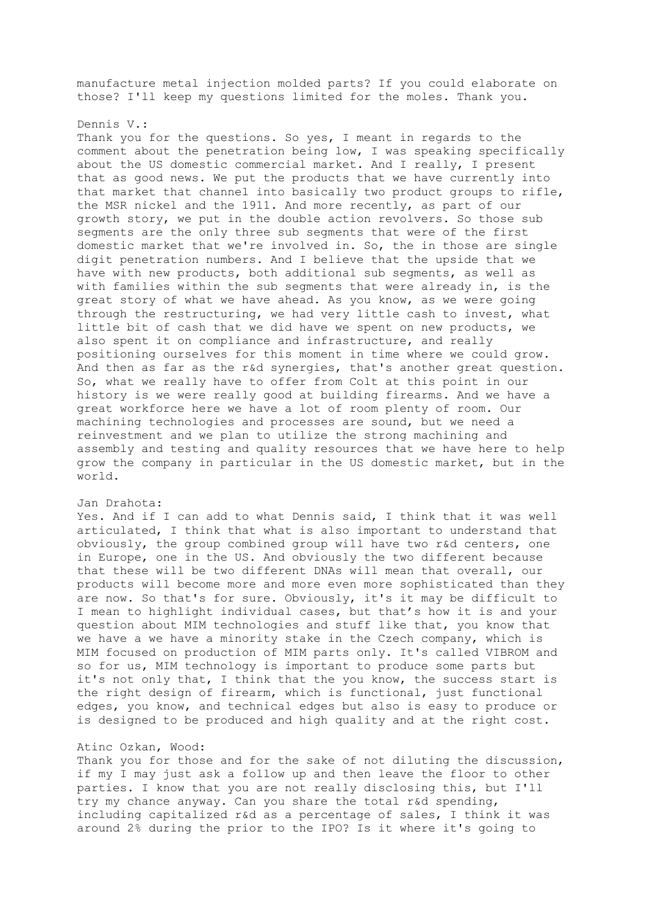manufacture metal injection molded parts? If you could elaborate on those? I'll keep my questions limited for the moles. Thank you.

#### Dennis V.:

Thank you for the questions. So yes, I meant in regards to the comment about the penetration being low, I was speaking specifically about the US domestic commercial market. And I really, I present that as good news. We put the products that we have currently into that market that channel into basically two product groups to rifle, the MSR nickel and the 1911. And more recently, as part of our growth story, we put in the double action revolvers. So those sub segments are the only three sub segments that were of the first domestic market that we're involved in. So, the in those are single digit penetration numbers. And I believe that the upside that we have with new products, both additional sub segments, as well as with families within the sub segments that were already in, is the great story of what we have ahead. As you know, as we were going through the restructuring, we had very little cash to invest, what little bit of cash that we did have we spent on new products, we also spent it on compliance and infrastructure, and really positioning ourselves for this moment in time where we could grow. And then as far as the r&d synergies, that's another great question. So, what we really have to offer from Colt at this point in our history is we were really good at building firearms. And we have a great workforce here we have a lot of room plenty of room. Our machining technologies and processes are sound, but we need a reinvestment and we plan to utilize the strong machining and assembly and testing and quality resources that we have here to help grow the company in particular in the US domestic market, but in the world.

### Jan Drahota:

Yes. And if I can add to what Dennis said, I think that it was well articulated, I think that what is also important to understand that obviously, the group combined group will have two r&d centers, one in Europe, one in the US. And obviously the two different because that these will be two different DNAs will mean that overall, our products will become more and more even more sophisticated than they are now. So that's for sure. Obviously, it's it may be difficult to I mean to highlight individual cases, but that's how it is and your question about MIM technologies and stuff like that, you know that we have a we have a minority stake in the Czech company, which is MIM focused on production of MIM parts only. It's called VIBROM and so for us, MIM technology is important to produce some parts but it's not only that, I think that the you know, the success start is the right design of firearm, which is functional, just functional edges, you know, and technical edges but also is easy to produce or is designed to be produced and high quality and at the right cost.

#### Atinc Ozkan, Wood:

Thank you for those and for the sake of not diluting the discussion, if my I may just ask a follow up and then leave the floor to other parties. I know that you are not really disclosing this, but I'll try my chance anyway. Can you share the total r&d spending, including capitalized r&d as a percentage of sales, I think it was around 2% during the prior to the IPO? Is it where it's going to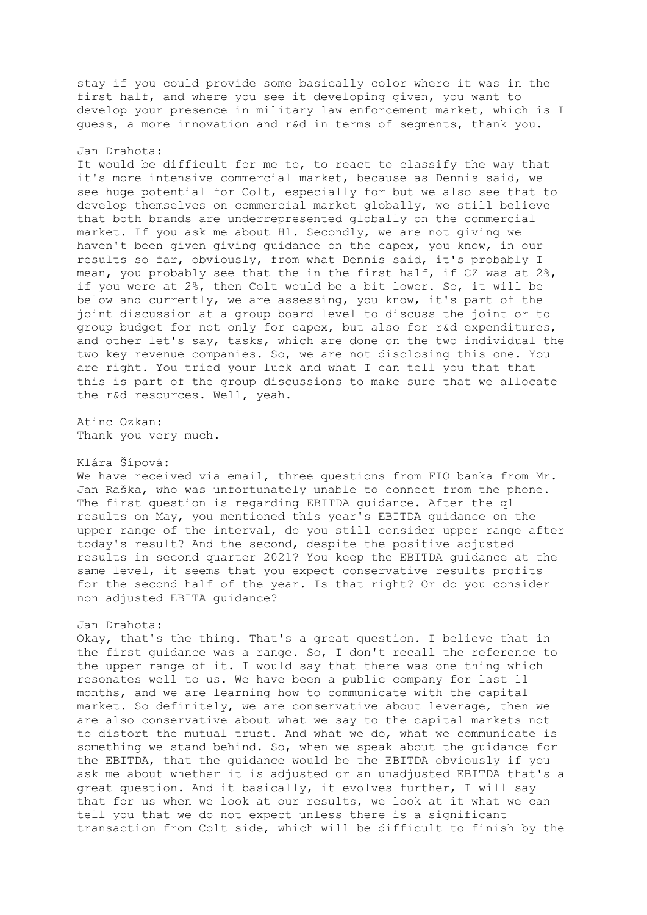stay if you could provide some basically color where it was in the first half, and where you see it developing given, you want to develop your presence in military law enforcement market, which is I guess, a more innovation and r&d in terms of segments, thank you.

## Jan Drahota:

It would be difficult for me to, to react to classify the way that it's more intensive commercial market, because as Dennis said, we see huge potential for Colt, especially for but we also see that to develop themselves on commercial market globally, we still believe that both brands are underrepresented globally on the commercial market. If you ask me about H1. Secondly, we are not giving we haven't been given giving guidance on the capex, you know, in our results so far, obviously, from what Dennis said, it's probably I mean, you probably see that the in the first half, if CZ was at 2%, if you were at 2%, then Colt would be a bit lower. So, it will be below and currently, we are assessing, you know, it's part of the joint discussion at a group board level to discuss the joint or to group budget for not only for capex, but also for r&d expenditures, and other let's say, tasks, which are done on the two individual the two key revenue companies. So, we are not disclosing this one. You are right. You tried your luck and what I can tell you that that this is part of the group discussions to make sure that we allocate the r&d resources. Well, yeah.

Atinc Ozkan: Thank you very much.

### Klára Šípová:

We have received via email, three questions from FIO banka from Mr. Jan Raška, who was unfortunately unable to connect from the phone. The first question is regarding EBITDA guidance. After the q1 results on May, you mentioned this year's EBITDA guidance on the upper range of the interval, do you still consider upper range after today's result? And the second, despite the positive adjusted results in second quarter 2021? You keep the EBITDA guidance at the same level, it seems that you expect conservative results profits for the second half of the year. Is that right? Or do you consider non adjusted EBITA guidance?

## Jan Drahota:

Okay, that's the thing. That's a great question. I believe that in the first guidance was a range. So, I don't recall the reference to the upper range of it. I would say that there was one thing which resonates well to us. We have been a public company for last 11 months, and we are learning how to communicate with the capital market. So definitely, we are conservative about leverage, then we are also conservative about what we say to the capital markets not to distort the mutual trust. And what we do, what we communicate is something we stand behind. So, when we speak about the guidance for the EBITDA, that the guidance would be the EBITDA obviously if you ask me about whether it is adjusted or an unadjusted EBITDA that's a great question. And it basically, it evolves further, I will say that for us when we look at our results, we look at it what we can tell you that we do not expect unless there is a significant transaction from Colt side, which will be difficult to finish by the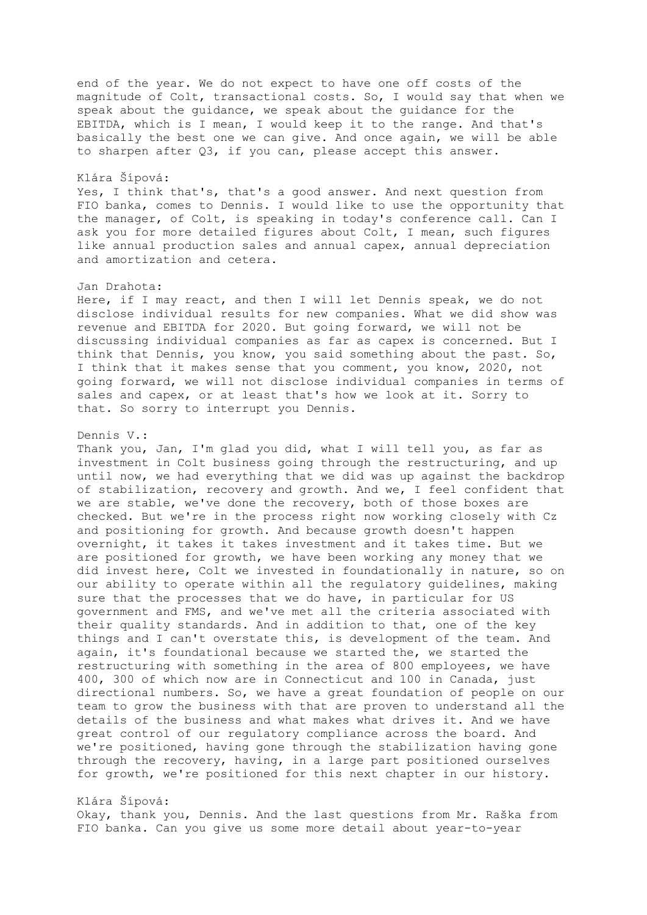end of the year. We do not expect to have one off costs of the magnitude of Colt, transactional costs. So, I would say that when we speak about the guidance, we speak about the guidance for the EBITDA, which is I mean, I would keep it to the range. And that's basically the best one we can give. And once again, we will be able to sharpen after Q3, if you can, please accept this answer.

## Klára Šípová:

Yes, I think that's, that's a good answer. And next question from FIO banka, comes to Dennis. I would like to use the opportunity that the manager, of Colt, is speaking in today's conference call. Can I ask you for more detailed figures about Colt, I mean, such figures like annual production sales and annual capex, annual depreciation and amortization and cetera.

### Jan Drahota:

Here, if I may react, and then I will let Dennis speak, we do not disclose individual results for new companies. What we did show was revenue and EBITDA for 2020. But going forward, we will not be discussing individual companies as far as capex is concerned. But I think that Dennis, you know, you said something about the past. So, I think that it makes sense that you comment, you know, 2020, not going forward, we will not disclose individual companies in terms of sales and capex, or at least that's how we look at it. Sorry to that. So sorry to interrupt you Dennis.

#### Dennis V.:

Thank you, Jan, I'm glad you did, what I will tell you, as far as investment in Colt business going through the restructuring, and up until now, we had everything that we did was up against the backdrop of stabilization, recovery and growth. And we, I feel confident that we are stable, we've done the recovery, both of those boxes are checked. But we're in the process right now working closely with Cz and positioning for growth. And because growth doesn't happen overnight, it takes it takes investment and it takes time. But we are positioned for growth, we have been working any money that we did invest here, Colt we invested in foundationally in nature, so on our ability to operate within all the regulatory guidelines, making sure that the processes that we do have, in particular for US government and FMS, and we've met all the criteria associated with their quality standards. And in addition to that, one of the key things and I can't overstate this, is development of the team. And again, it's foundational because we started the, we started the restructuring with something in the area of 800 employees, we have 400, 300 of which now are in Connecticut and 100 in Canada, just directional numbers. So, we have a great foundation of people on our team to grow the business with that are proven to understand all the details of the business and what makes what drives it. And we have great control of our regulatory compliance across the board. And we're positioned, having gone through the stabilization having gone through the recovery, having, in a large part positioned ourselves for growth, we're positioned for this next chapter in our history.

# Klára Šípová:

Okay, thank you, Dennis. And the last questions from Mr. Raška from FIO banka. Can you give us some more detail about year-to-year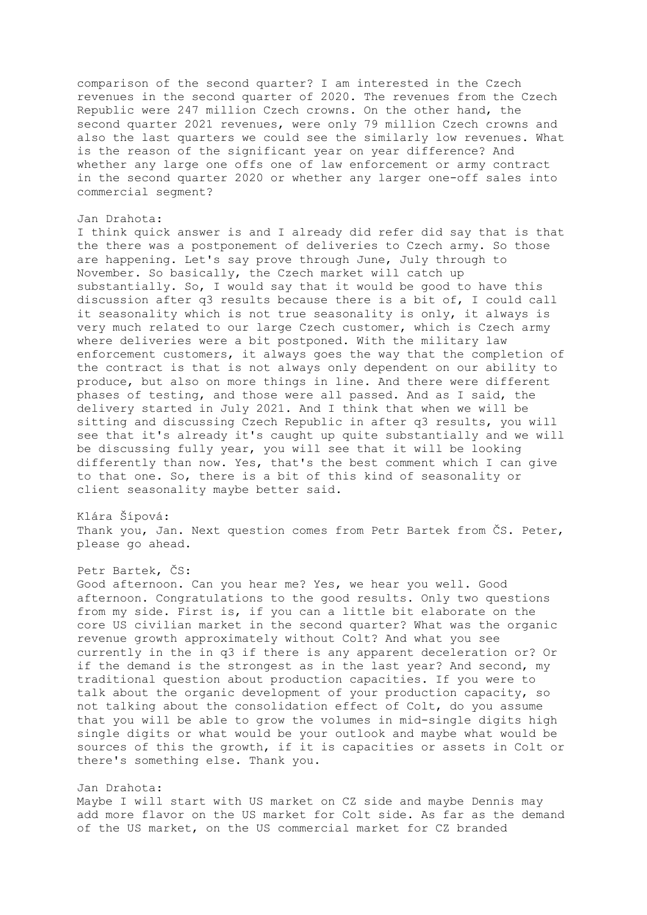comparison of the second quarter? I am interested in the Czech revenues in the second quarter of 2020. The revenues from the Czech Republic were 247 million Czech crowns. On the other hand, the second quarter 2021 revenues, were only 79 million Czech crowns and also the last quarters we could see the similarly low revenues. What is the reason of the significant year on year difference? And whether any large one offs one of law enforcement or army contract in the second quarter 2020 or whether any larger one-off sales into commercial segment?

#### Jan Drahota:

I think quick answer is and I already did refer did say that is that the there was a postponement of deliveries to Czech army. So those are happening. Let's say prove through June, July through to November. So basically, the Czech market will catch up substantially. So, I would say that it would be good to have this discussion after q3 results because there is a bit of, I could call it seasonality which is not true seasonality is only, it always is very much related to our large Czech customer, which is Czech army where deliveries were a bit postponed. With the military law enforcement customers, it always goes the way that the completion of the contract is that is not always only dependent on our ability to produce, but also on more things in line. And there were different phases of testing, and those were all passed. And as I said, the delivery started in July 2021. And I think that when we will be sitting and discussing Czech Republic in after q3 results, you will see that it's already it's caught up quite substantially and we will be discussing fully year, you will see that it will be looking differently than now. Yes, that's the best comment which I can give to that one. So, there is a bit of this kind of seasonality or client seasonality maybe better said.

Klára Šípová: Thank you, Jan. Next question comes from Petr Bartek from CS. Peter, please go ahead.

## Petr Bartek, ČS:

Good afternoon. Can you hear me? Yes, we hear you well. Good afternoon. Congratulations to the good results. Only two questions from my side. First is, if you can a little bit elaborate on the core US civilian market in the second quarter? What was the organic revenue growth approximately without Colt? And what you see currently in the in q3 if there is any apparent deceleration or? Or if the demand is the strongest as in the last year? And second, my traditional question about production capacities. If you were to talk about the organic development of your production capacity, so not talking about the consolidation effect of Colt, do you assume that you will be able to grow the volumes in mid-single digits high single digits or what would be your outlook and maybe what would be sources of this the growth, if it is capacities or assets in Colt or there's something else. Thank you.

### Jan Drahota:

Maybe I will start with US market on CZ side and maybe Dennis may add more flavor on the US market for Colt side. As far as the demand of the US market, on the US commercial market for CZ branded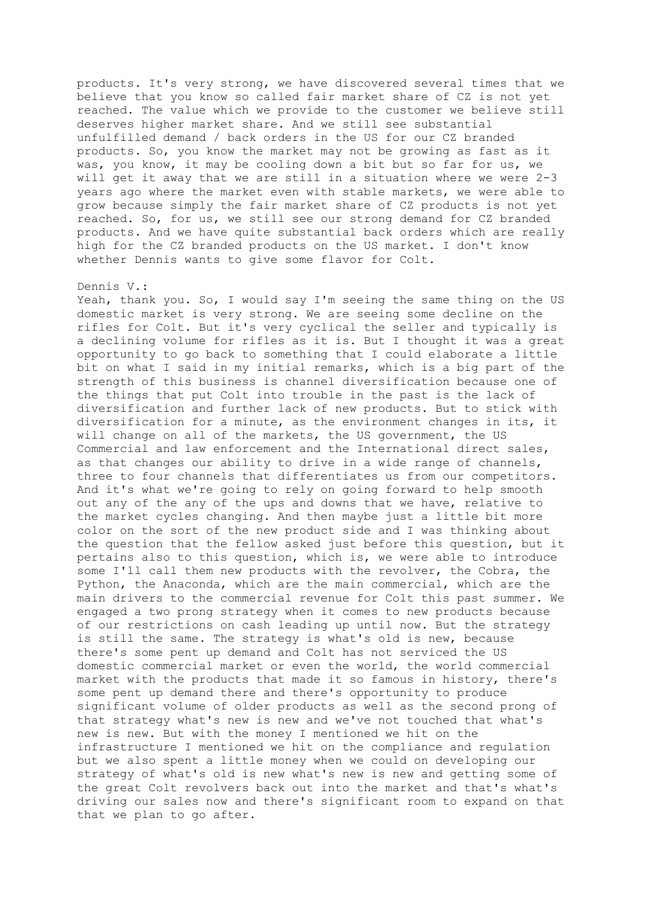products. It's very strong, we have discovered several times that we believe that you know so called fair market share of CZ is not yet reached. The value which we provide to the customer we believe still deserves higher market share. And we still see substantial unfulfilled demand / back orders in the US for our CZ branded products. So, you know the market may not be growing as fast as it was, you know, it may be cooling down a bit but so far for us, we will get it away that we are still in a situation where we were 2-3 years ago where the market even with stable markets, we were able to grow because simply the fair market share of CZ products is not yet reached. So, for us, we still see our strong demand for CZ branded products. And we have quite substantial back orders which are really high for the CZ branded products on the US market. I don't know whether Dennis wants to give some flavor for Colt.

#### Dennis V.:

Yeah, thank you. So, I would say I'm seeing the same thing on the US domestic market is very strong. We are seeing some decline on the rifles for Colt. But it's very cyclical the seller and typically is a declining volume for rifles as it is. But I thought it was a great opportunity to go back to something that I could elaborate a little bit on what I said in my initial remarks, which is a big part of the strength of this business is channel diversification because one of the things that put Colt into trouble in the past is the lack of diversification and further lack of new products. But to stick with diversification for a minute, as the environment changes in its, it will change on all of the markets, the US government, the US Commercial and law enforcement and the International direct sales, as that changes our ability to drive in a wide range of channels, three to four channels that differentiates us from our competitors. And it's what we're going to rely on going forward to help smooth out any of the any of the ups and downs that we have, relative to the market cycles changing. And then maybe just a little bit more color on the sort of the new product side and I was thinking about the question that the fellow asked just before this question, but it pertains also to this question, which is, we were able to introduce some I'll call them new products with the revolver, the Cobra, the Python, the Anaconda, which are the main commercial, which are the main drivers to the commercial revenue for Colt this past summer. We engaged a two prong strategy when it comes to new products because of our restrictions on cash leading up until now. But the strategy is still the same. The strategy is what's old is new, because there's some pent up demand and Colt has not serviced the US domestic commercial market or even the world, the world commercial market with the products that made it so famous in history, there's some pent up demand there and there's opportunity to produce significant volume of older products as well as the second prong of that strategy what's new is new and we've not touched that what's new is new. But with the money I mentioned we hit on the infrastructure I mentioned we hit on the compliance and regulation but we also spent a little money when we could on developing our strategy of what's old is new what's new is new and getting some of the great Colt revolvers back out into the market and that's what's driving our sales now and there's significant room to expand on that that we plan to go after.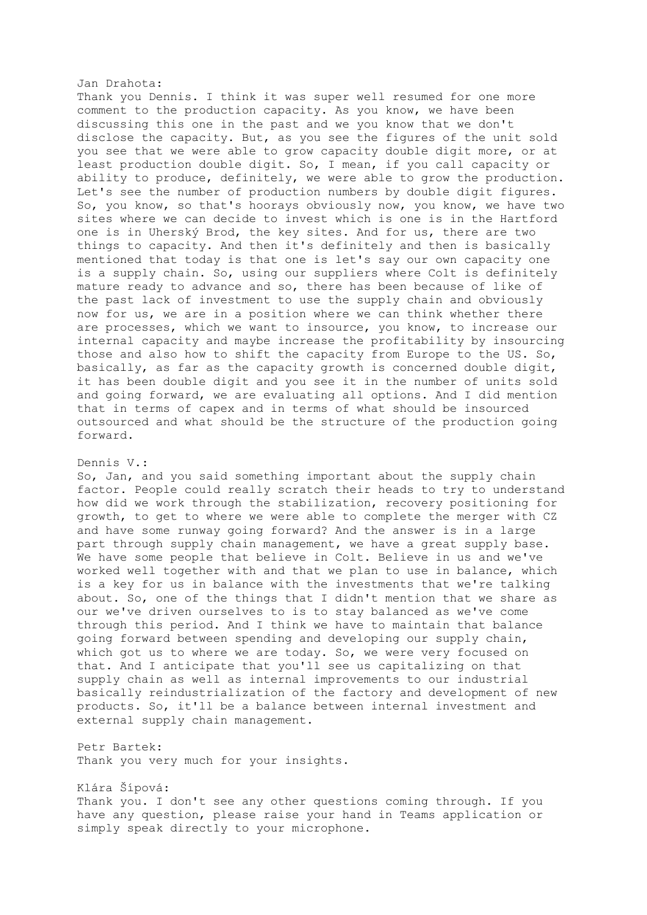#### Jan Drahota:

Thank you Dennis. I think it was super well resumed for one more comment to the production capacity. As you know, we have been discussing this one in the past and we you know that we don't disclose the capacity. But, as you see the figures of the unit sold you see that we were able to grow capacity double digit more, or at least production double digit. So, I mean, if you call capacity or ability to produce, definitely, we were able to grow the production. Let's see the number of production numbers by double digit figures. So, you know, so that's hoorays obviously now, you know, we have two sites where we can decide to invest which is one is in the Hartford one is in Uherský Brod, the key sites. And for us, there are two things to capacity. And then it's definitely and then is basically mentioned that today is that one is let's say our own capacity one is a supply chain. So, using our suppliers where Colt is definitely mature ready to advance and so, there has been because of like of the past lack of investment to use the supply chain and obviously now for us, we are in a position where we can think whether there are processes, which we want to insource, you know, to increase our internal capacity and maybe increase the profitability by insourcing those and also how to shift the capacity from Europe to the US. So, basically, as far as the capacity growth is concerned double digit, it has been double digit and you see it in the number of units sold and going forward, we are evaluating all options. And I did mention that in terms of capex and in terms of what should be insourced outsourced and what should be the structure of the production going forward.

### Dennis V.:

So, Jan, and you said something important about the supply chain factor. People could really scratch their heads to try to understand how did we work through the stabilization, recovery positioning for growth, to get to where we were able to complete the merger with CZ and have some runway going forward? And the answer is in a large part through supply chain management, we have a great supply base. We have some people that believe in Colt. Believe in us and we've worked well together with and that we plan to use in balance, which is a key for us in balance with the investments that we're talking about. So, one of the things that I didn't mention that we share as our we've driven ourselves to is to stay balanced as we've come through this period. And I think we have to maintain that balance going forward between spending and developing our supply chain, which got us to where we are today. So, we were very focused on that. And I anticipate that you'll see us capitalizing on that supply chain as well as internal improvements to our industrial basically reindustrialization of the factory and development of new products. So, it'll be a balance between internal investment and external supply chain management.

Petr Bartek: Thank you very much for your insights.

Klára Šípová: Thank you. I don't see any other questions coming through. If you have any question, please raise your hand in Teams application or simply speak directly to your microphone.